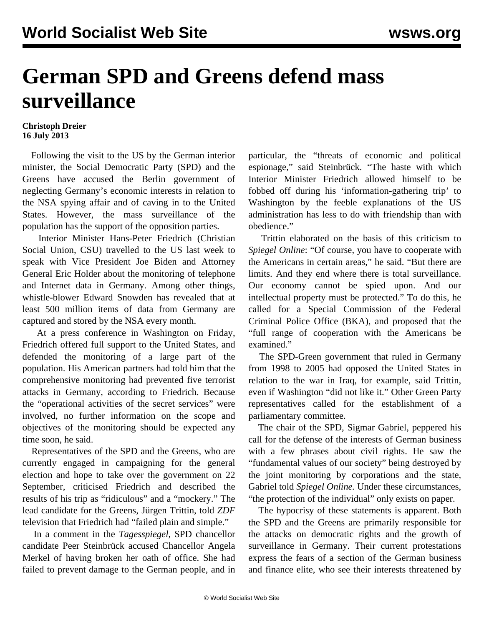## **German SPD and Greens defend mass surveillance**

## **Christoph Dreier 16 July 2013**

 Following the visit to the US by the German interior minister, the Social Democratic Party (SPD) and the Greens have accused the Berlin government of neglecting Germany's economic interests in relation to the NSA spying affair and of caving in to the United States. However, the mass surveillance of the population has the support of the opposition parties.

 Interior Minister Hans-Peter Friedrich (Christian Social Union, CSU) travelled to the US last week to speak with Vice President Joe Biden and Attorney General Eric Holder about the monitoring of telephone and Internet data in Germany. Among other things, whistle-blower Edward Snowden has revealed that at least 500 million items of data from Germany are captured and stored by the NSA every month.

 At a press conference in Washington on Friday, Friedrich offered full support to the United States, and defended the monitoring of a large part of the population. His American partners had told him that the comprehensive monitoring had prevented five terrorist attacks in Germany, according to Friedrich. Because the "operational activities of the secret services" were involved, no further information on the scope and objectives of the monitoring should be expected any time soon, he said.

 Representatives of the SPD and the Greens, who are currently engaged in campaigning for the general election and hope to take over the government on 22 September, criticised Friedrich and described the results of his trip as "ridiculous" and a "mockery." The lead candidate for the Greens, Jürgen Trittin, told *ZDF* television that Friedrich had "failed plain and simple."

 In a comment in the *Tagesspiegel*, SPD chancellor candidate Peer Steinbrück accused Chancellor Angela Merkel of having broken her oath of office. She had failed to prevent damage to the German people, and in particular, the "threats of economic and political espionage," said Steinbrück. "The haste with which Interior Minister Friedrich allowed himself to be fobbed off during his 'information-gathering trip' to Washington by the feeble explanations of the US administration has less to do with friendship than with obedience."

 Trittin elaborated on the basis of this criticism to *Spiegel Online*: "Of course, you have to cooperate with the Americans in certain areas," he said. "But there are limits. And they end where there is total surveillance. Our economy cannot be spied upon. And our intellectual property must be protected." To do this, he called for a Special Commission of the Federal Criminal Police Office (BKA), and proposed that the "full range of cooperation with the Americans be examined."

 The SPD-Green government that ruled in Germany from 1998 to 2005 had opposed the United States in relation to the war in Iraq, for example, said Trittin, even if Washington "did not like it." Other Green Party representatives called for the establishment of a parliamentary committee.

 The chair of the SPD, Sigmar Gabriel, peppered his call for the defense of the interests of German business with a few phrases about civil rights. He saw the "fundamental values of our society" being destroyed by the joint monitoring by corporations and the state, Gabriel told *Spiegel Online.* Under these circumstances, "the protection of the individual" only exists on paper.

 The hypocrisy of these statements is apparent. Both the SPD and the Greens are primarily responsible for the attacks on democratic rights and the growth of surveillance in Germany. Their current protestations express the fears of a section of the German business and finance elite, who see their interests threatened by